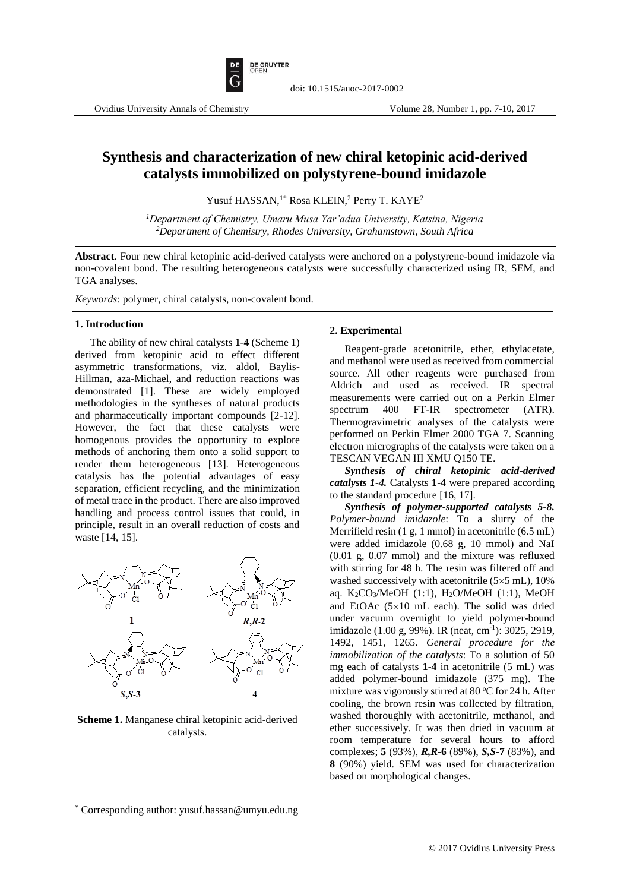

# **Synthesis and characterization of new chiral ketopinic acid-derived catalysts immobilized on polystyrene-bound imidazole**

doi: 10.1515/auoc-2017-0002

Yusuf HASSAN,<sup>1\*</sup> Rosa KLEIN,<sup>2</sup> Perry T. KAYE<sup>2</sup>

*<sup>1</sup>Department of Chemistry, Umaru Musa Yar'adua University, Katsina, Nigeria <sup>2</sup>Department of Chemistry, Rhodes University, Grahamstown, South Africa*

**Abstract**. Four new chiral ketopinic acid-derived catalysts were anchored on a polystyrene-bound imidazole via non-covalent bond. The resulting heterogeneous catalysts were successfully characterized using IR, SEM, and TGA analyses.

*Keywords*: polymer, chiral catalysts, non-covalent bond.

#### **1. Introduction**

The ability of new chiral catalysts **1**-**4** (Scheme 1) derived from ketopinic acid to effect different asymmetric transformations, viz. aldol, Baylis-Hillman, aza-Michael, and reduction reactions was demonstrated [1]. These are widely employed methodologies in the syntheses of natural products and pharmaceutically important compounds [2-12]. However, the fact that these catalysts were homogenous provides the opportunity to explore methods of anchoring them onto a solid support to render them heterogeneous [13]. Heterogeneous catalysis has the potential advantages of easy separation, efficient recycling, and the minimization of metal trace in the product. There are also improved handling and process control issues that could, in principle, result in an overall reduction of costs and waste [14, 15].



**Scheme 1.** Manganese chiral ketopinic acid-derived catalysts.

#### **2. Experimental**

Reagent-grade acetonitrile, ether, ethylacetate, and methanol were used as received from commercial source. All other reagents were purchased from Aldrich and used as received. IR spectral measurements were carried out on a Perkin Elmer spectrum 400 FT-IR spectrometer (ATR). Thermogravimetric analyses of the catalysts were performed on Perkin Elmer 2000 TGA 7. Scanning electron micrographs of the catalysts were taken on a TESCAN VEGAN III XMU Q150 TE.

*Synthesis of chiral ketopinic acid-derived catalysts 1-4.* Catalysts **1**-**4** were prepared according to the standard procedure [16, 17].

*Synthesis of polymer-supported catalysts 5-8. Polymer-bound imidazole*: To a slurry of the Merrifield resin (1 g, 1 mmol) in acetonitrile (6.5 mL) were added imidazole (0.68 g, 10 mmol) and NaI (0.01 g, 0.07 mmol) and the mixture was refluxed with stirring for 48 h. The resin was filtered off and washed successively with acetonitrile  $(5 \times 5 \text{ mL})$ , 10% aq. K2CO3/MeOH (1:1), H2O/MeOH (1:1), MeOH and EtOAc  $(5\times10$  mL each). The solid was dried under vacuum overnight to yield polymer-bound imidazole (1.00 g, 99%). IR (neat, cm<sup>-1</sup>): 3025, 2919, 1492, 1451, 1265. *General procedure for the immobilization of the catalysts*: To a solution of 50 mg each of catalysts **1**-**4** in acetonitrile (5 mL) was added polymer-bound imidazole (375 mg). The mixture was vigorously stirred at 80  $\degree$ C for 24 h. After cooling, the brown resin was collected by filtration, washed thoroughly with acetonitrile, methanol, and ether successively. It was then dried in vacuum at room temperature for several hours to afford complexes; **5** (93%), *R,R***-6** (89%), *S,S-***7** (83%), and **8** (90%) yield. SEM was used for characterization based on morphological changes.

 $\overline{\phantom{a}}$ 

<sup>\*</sup> Corresponding author: yusuf.hassan@umyu.edu.ng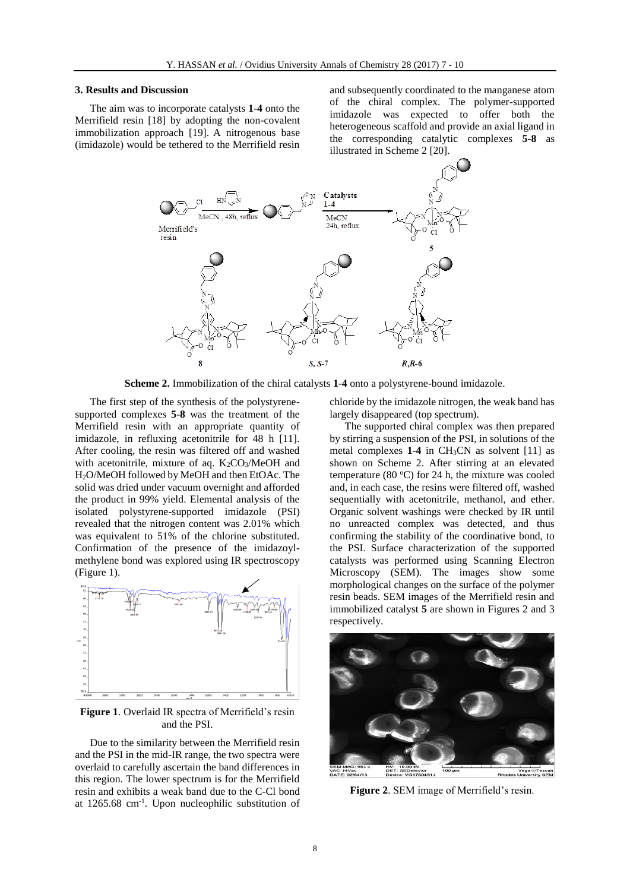## **3. Results and Discussion**

The aim was to incorporate catalysts **1**-**4** onto the Merrifield resin [18] by adopting the non-covalent immobilization approach [19]. A nitrogenous base (imidazole) would be tethered to the Merrifield resin and subsequently coordinated to the manganese atom of the chiral complex. The polymer-supported imidazole was expected to offer both the heterogeneous scaffold and provide an axial ligand in the corresponding catalytic complexes **5-8** as illustrated in Scheme 2 [20].



**Scheme 2.** Immobilization of the chiral catalysts **1**-**4** onto a polystyrene-bound imidazole.

The first step of the synthesis of the polystyrenesupported complexes **5**-**8** was the treatment of the Merrifield resin with an appropriate quantity of imidazole, in refluxing acetonitrile for 48 h [11]. After cooling, the resin was filtered off and washed with acetonitrile, mixture of aq.  $K_2CO_3/MeOH$  and H2O/MeOH followed by MeOH and then EtOAc. The solid was dried under vacuum overnight and afforded the product in 99% yield. Elemental analysis of the isolated polystyrene-supported imidazole (PSI) revealed that the nitrogen content was 2.01% which was equivalent to 51% of the chlorine substituted. Confirmation of the presence of the imidazoylmethylene bond was explored using IR spectroscopy (Figure 1).



**Figure 1**. Overlaid IR spectra of Merrifield's resin and the PSI.

Due to the similarity between the Merrifield resin and the PSI in the mid-IR range, the two spectra were overlaid to carefully ascertain the band differences in this region. The lower spectrum is for the Merrifield resin and exhibits a weak band due to the C-Cl bond at 1265.68 cm-1 . Upon nucleophilic substitution of chloride by the imidazole nitrogen, the weak band has largely disappeared (top spectrum).

The supported chiral complex was then prepared by stirring a suspension of the PSI, in solutions of the metal complexes  $1-4$  in CH<sub>3</sub>CN as solvent [11] as shown on Scheme 2. After stirring at an elevated temperature (80 $^{\circ}$ C) for 24 h, the mixture was cooled and, in each case, the resins were filtered off, washed sequentially with acetonitrile, methanol, and ether. Organic solvent washings were checked by IR until no unreacted complex was detected, and thus confirming the stability of the coordinative bond, to the PSI. Surface characterization of the supported catalysts was performed using Scanning Electron Microscopy (SEM). The images show some morphological changes on the surface of the polymer resin beads. SEM images of the Merrifield resin and immobilized catalyst **5** are shown in Figures 2 and 3 respectively.



**Figure 2**. SEM image of Merrifield's resin.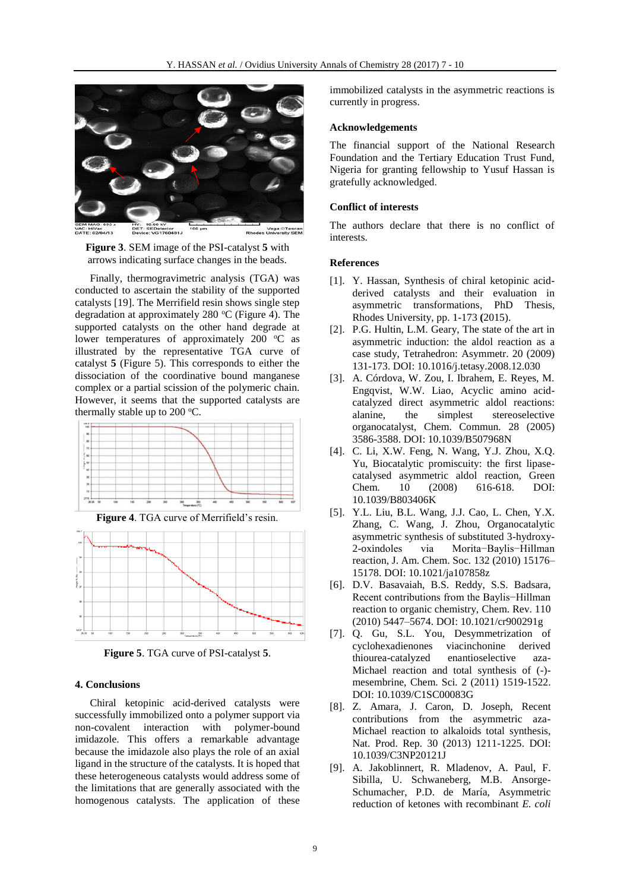

**Figure 3**. SEM image of the PSI-catalyst **5** with arrows indicating surface changes in the beads.

Finally, thermogravimetric analysis (TGA) was conducted to ascertain the stability of the supported catalysts [19]. The Merrifield resin shows single step degradation at approximately 280  $\degree$ C (Figure 4). The supported catalysts on the other hand degrade at lower temperatures of approximately 200 °C as illustrated by the representative TGA curve of catalyst **5** (Figure 5). This corresponds to either the dissociation of the coordinative bound manganese complex or a partial scission of the polymeric chain. However, it seems that the supported catalysts are thermally stable up to  $200^{\circ}$ C.



**Figure 4**. TGA curve of Merrifield's resin.



**Figure 5**. TGA curve of PSI-catalyst **5**.

#### **4. Conclusions**

Chiral ketopinic acid-derived catalysts were successfully immobilized onto a polymer support via non-covalent interaction with polymer-bound imidazole. This offers a remarkable advantage because the imidazole also plays the role of an axial ligand in the structure of the catalysts. It is hoped that these heterogeneous catalysts would address some of the limitations that are generally associated with the homogenous catalysts. The application of these immobilized catalysts in the asymmetric reactions is currently in progress.

# **Acknowledgements**

The financial support of the National Research Foundation and the Tertiary Education Trust Fund, Nigeria for granting fellowship to Yusuf Hassan is gratefully acknowledged.

## **Conflict of interests**

The authors declare that there is no conflict of interests.

#### **References**

- [1]. Y. Hassan, Synthesis of chiral ketopinic acidderived catalysts and their evaluation in asymmetric transformations, PhD Thesis, Rhodes University, pp. 1-173 **(**2015).
- [2]. P.G. Hultin, L.M. Geary, The state of the art in asymmetric induction: the aldol reaction as a case study, Tetrahedron: Asymmetr. 20 (2009) 131-173. DOI: 10.1016/j.tetasy.2008.12.030
- [3]. A. Córdova, W. Zou, I. Ibrahem, E. Reyes, M. Engqvist, W.W. Liao, Acyclic amino acidcatalyzed direct asymmetric aldol reactions: alanine, the simplest stereoselective organocatalyst, Chem. Commun*.* 28 (2005) 3586-3588. DOI: 10.1039/B507968N
- [4]. C. Li, X.W. Feng, N. Wang, Y.J. Zhou, X.Q. Yu, Biocatalytic promiscuity: the first lipasecatalysed asymmetric aldol reaction, Green Chem*.* 10 (2008) 616-618. DOI: 10.1039/B803406K
- [5]. Y.L. Liu, B.L. Wang, J.J. Cao, L. Chen, Y.X. Zhang, C. Wang, J. Zhou, Organocatalytic asymmetric synthesis of substituted 3-hydroxy-2-oxindoles via Morita−Baylis−Hillman reaction, J. Am. Chem. Soc. 132 (2010) 15176– 15178. DOI: 10.1021/ja107858z
- [6]. D.V. Basavaiah, B.S. Reddy, S.S. Badsara, Recent contributions from the Baylis−Hillman reaction to organic chemistry, Chem. Rev. 110 (2010) 5447–5674. DOI: 10.1021/cr900291g
- [7]. Q. Gu, S.L. You, Desymmetrization of cyclohexadienones viacinchonine derived thiourea-catalyzed enantioselective aza-Michael reaction and total synthesis of (-) mesembrine, Chem. Sci*.* 2 (2011) 1519-1522. DOI: 10.1039/C1SC00083G
- [8]. Z. Amara, J. Caron, D. Joseph, Recent contributions from the asymmetric aza-Michael reaction to alkaloids total synthesis, Nat. Prod. Rep*.* 30 (2013) 1211-1225. DOI: 10.1039/C3NP20121J
- [9]. A. Jakoblinnert, R. Mladenov, A. Paul, F. Sibilla, U. Schwaneberg, M.B. Ansorge-Schumacher, P.D. de María, Asymmetric reduction of ketones with recombinant *E. coli*